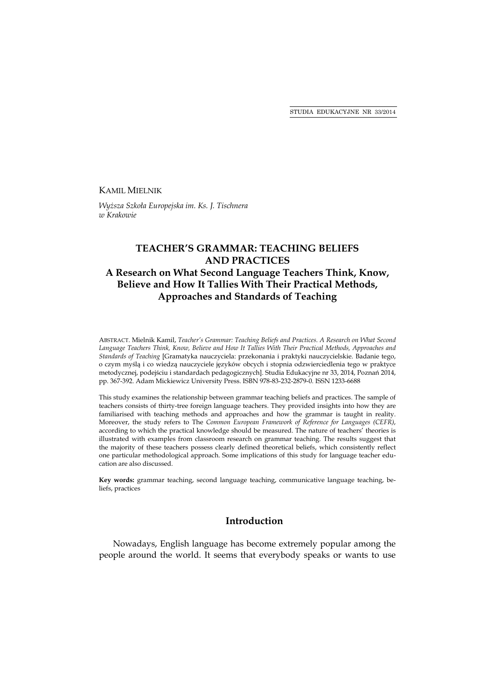### KAMIL MIELNIK

*Wyższa Szkoła Europejska im. Ks. J. Tischnera w Krakowie* 

# **TEACHER'S GRAMMAR: TEACHING BELIEFS AND PRACTICES A Research on What Second Language Teachers Think, Know, Believe and How It Tallies With Their Practical Methods, Approaches and Standards of Teaching**

ABSTRACT. Mielnik Kamil, *Teacher's Grammar: Teaching Beliefs and Practices. A Research on What Second Language Teachers Think, Know, Believe and How It Tallies With Their Practical Methods, Approaches and Standards of Teaching* [Gramatyka nauczyciela: przekonania i praktyki nauczycielskie. Badanie tego, o czym myślą i co wiedzą nauczyciele języków obcych i stopnia odzwierciedlenia tego w praktyce metodycznej, podejściu i standardach pedagogicznych]. Studia Edukacyjne nr 33, 2014, Poznań 2014, pp. 367-392. Adam Mickiewicz University Press. ISBN 978-83-232-2879-0. ISSN 1233-6688

This study examines the relationship between grammar teaching beliefs and practices. The sample of teachers consists of thirty-tree foreign language teachers. They provided insights into how they are familiarised with teaching methods and approaches and how the grammar is taught in reality. Moreover, the study refers to The *Common European Framework of Reference for Languages (CEFR)*, according to which the practical knowledge should be measured. The nature of teachers' theories is illustrated with examples from classroom research on grammar teaching. The results suggest that the majority of these teachers possess clearly defined theoretical beliefs, which consistently reflect one particular methodological approach. Some implications of this study for language teacher education are also discussed.

**Key words:** grammar teaching, second language teaching, communicative language teaching, beliefs, practices

# **Introduction**

Nowadays, English language has become extremely popular among the people around the world. It seems that everybody speaks or wants to use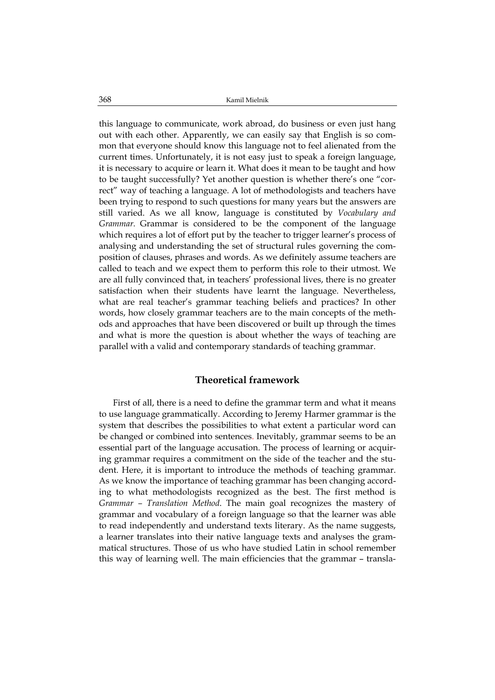this language to communicate, work abroad, do business or even just hang out with each other. Apparently, we can easily say that English is so common that everyone should know this language not to feel alienated from the current times. Unfortunately, it is not easy just to speak a foreign language, it is necessary to acquire or learn it. What does it mean to be taught and how to be taught successfully? Yet another question is whether there's one "correct" way of teaching a language. A lot of methodologists and teachers have been trying to respond to such questions for many years but the answers are still varied. As we all know, language is constituted by *Vocabulary and Grammar.* Grammar is considered to be the component of the language which requires a lot of effort put by the teacher to trigger learner's process of analysing and understanding the set of structural rules governing the composition of clauses, phrases and words. As we definitely assume teachers are called to teach and we expect them to perform this role to their utmost. We are all fully convinced that, in teachers' professional lives, there is no greater satisfaction when their students have learnt the language. Nevertheless, what are real teacher's grammar teaching beliefs and practices? In other words, how closely grammar teachers are to the main concepts of the methods and approaches that have been discovered or built up through the times and what is more the question is about whether the ways of teaching are parallel with a valid and contemporary standards of teaching grammar.

### **Theoretical framework**

First of all, there is a need to define the grammar term and what it means to use language grammatically. According to Jeremy Harmer grammar is the system that describes the possibilities to what extent a particular word can be changed or combined into sentences. Inevitably, grammar seems to be an essential part of the language accusation. The process of learning or acquiring grammar requires a commitment on the side of the teacher and the student. Here, it is important to introduce the methods of teaching grammar. As we know the importance of teaching grammar has been changing according to what methodologists recognized as the best. The first method is *Grammar – Translation Method*. The main goal recognizes the mastery of grammar and vocabulary of a foreign language so that the learner was able to read independently and understand texts literary. As the name suggests, a learner translates into their native language texts and analyses the grammatical structures. Those of us who have studied Latin in school remember this way of learning well. The main efficiencies that the grammar – transla-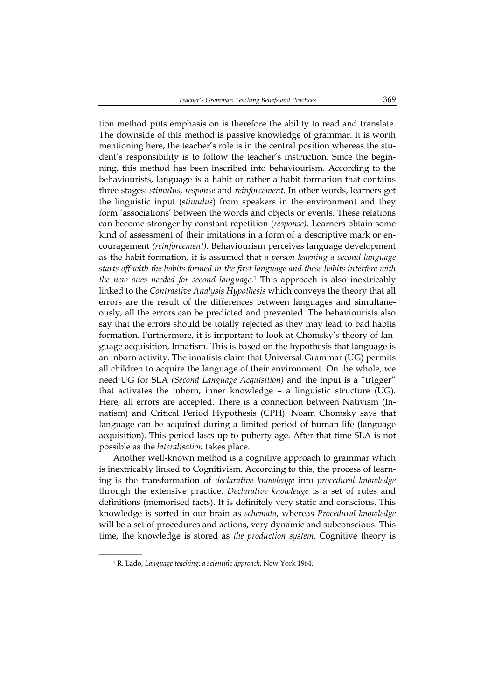tion method puts emphasis on is therefore the ability to read and translate. The downside of this method is passive knowledge of grammar. It is worth mentioning here, the teacher's role is in the central position whereas the student's responsibility is to follow the teacher's instruction. Since the beginning, this method has been inscribed into behaviourism. According to the behaviourists, language is a habit or rather a habit formation that contains three stages: *stimulus, response* and *reinforcement.* In other words, learners get the linguistic input (*stimulus*) from speakers in the environment and they form 'associations' between the words and objects or events. These relations can become stronger by constant repetition (*response).* Learners obtain some kind of assessment of their imitations in a form of a descriptive mark or encouragement *(reinforcement)*. Behaviourism perceives language development as the habit formation, it is assumed that *a person learning a second language starts off with the habits formed in the first language and these habits interfere with the new ones needed for second language.*1 This approach is also inextricably linked to the *Contrastive Analysis Hypothesis* which conveys the theory that all errors are the result of the differences between languages and simultaneously, all the errors can be predicted and prevented. The behaviourists also say that the errors should be totally rejected as they may lead to bad habits formation. Furthermore, it is important to look at Chomsky's theory of language acquisition, Innatism. This is based on the hypothesis that language is an inborn activity. The innatists claim that Universal Grammar (UG) permits all children to acquire the language of their environment. On the whole, we need UG for SLA *(Second Language Acquisition)* and the input is a "trigger" that activates the inborn, inner knowledge – a linguistic structure (UG). Here, all errors are accepted. There is a connection between Nativism (Innatism) and Critical Period Hypothesis (CPH). Noam Chomsky says that language can be acquired during a limited period of human life (language acquisition). This period lasts up to puberty age. After that time SLA is not possible as the *lateralisation* takes place.

Another well-known method is a cognitive approach to grammar which is inextricably linked to Cognitivism. According to this, the process of learning is the transformation of *declarative knowledge* into *procedural knowledge*  through the extensive practice. *Declarative knowledge* is a set of rules and definitions (memorised facts). It is definitely very static and conscious. This knowledge is sorted in our brain as *schemata*, whereas *Procedural knowledge*  will be a set of procedures and actions, very dynamic and subconscious. This time, the knowledge is stored as *the production system*. Cognitive theory is

<sup>1</sup> R. Lado, *Language teaching: a scientific approach*, New York 1964.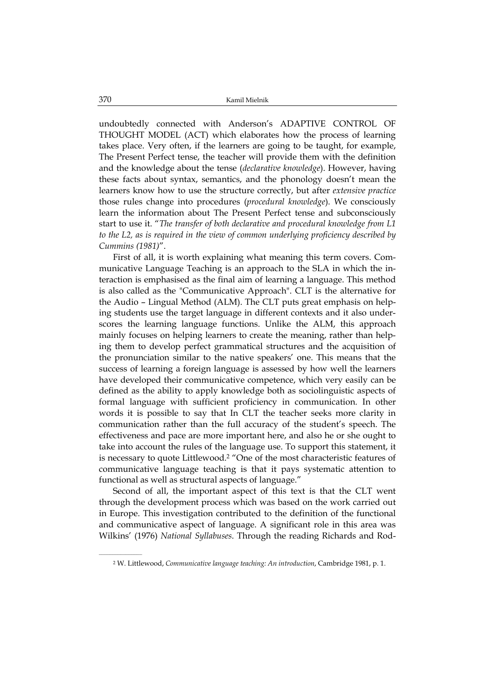undoubtedly connected with Anderson's ADAPTIVE CONTROL OF THOUGHT MODEL (ACT) which elaborates how the process of learning takes place. Very often, if the learners are going to be taught, for example, The Present Perfect tense, the teacher will provide them with the definition and the knowledge about the tense (*declarative knowledge*). However, having these facts about syntax, semantics, and the phonology doesn't mean the learners know how to use the structure correctly, but after *extensive practice* those rules change into procedures (*procedural knowledge*). We consciously learn the information about The Present Perfect tense and subconsciously start to use it. "*The transfer of both declarative and procedural knowledge from L1 to the L2, as is required in the view of common underlying proficiency described by Cummins (1981)*".

First of all, it is worth explaining what meaning this term covers. Communicative Language Teaching is an approach to the SLA in which the interaction is emphasised as the final aim of learning a language. This method is also called as the "Communicative Approach". CLT is the alternative for the Audio – Lingual Method (ALM). The CLT puts great emphasis on helping students use the target language in different contexts and it also underscores the learning language functions. Unlike the ALM, this approach mainly focuses on helping learners to create the meaning, rather than helping them to develop perfect grammatical structures and the acquisition of the pronunciation similar to the native speakers' one. This means that the success of learning a foreign language is assessed by how well the learners have developed their communicative competence, which very easily can be defined as the ability to apply knowledge both as sociolinguistic aspects of formal language with sufficient proficiency in communication. In other words it is possible to say that In CLT the teacher seeks more clarity in communication rather than the full accuracy of the student's speech. The effectiveness and pace are more important here, and also he or she ought to take into account the rules of the language use. To support this statement, it is necessary to quote Littlewood.2 "One of the most characteristic features of communicative language teaching is that it pays systematic attention to functional as well as structural aspects of language."

Second of all, the important aspect of this text is that the CLT went through the development process which was based on the work carried out in Europe. This investigation contributed to the definition of the functional and communicative aspect of language. A significant role in this area was Wilkins' (1976) *National Syllabuses*. Through the reading Richards and Rod-

<sup>2</sup> W. Littlewood, *Communicative language teaching: An introduction*, Cambridge 1981, p. 1.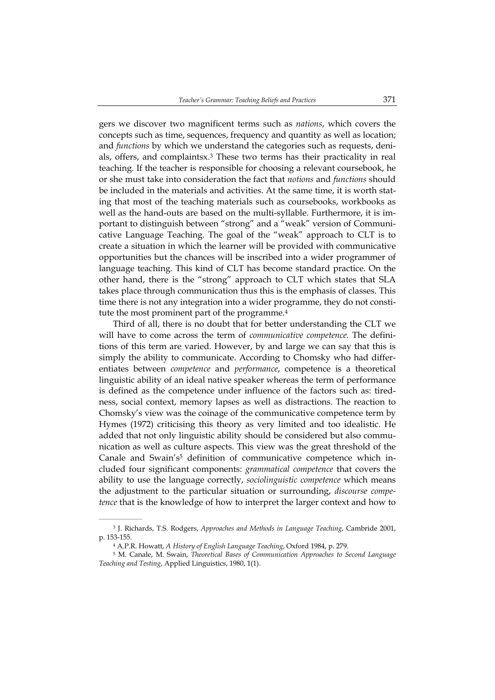gers we discover two magnificent terms such as *nations*, which covers the concepts such as time, sequences, frequency and quantity as well as location; and *functions* by which we understand the categories such as requests, denials, offers, and complaintsx.3 These two terms has their practicality in real teaching. If the teacher is responsible for choosing a relevant coursebook, he or she must take into consideration the fact that *notions* and *functions* should be included in the materials and activities. At the same time, it is worth stating that most of the teaching materials such as coursebooks, workbooks as well as the hand-outs are based on the multi-syllable. Furthermore, it is important to distinguish between "strong" and a "weak" version of Communicative Language Teaching. The goal of the "weak" approach to CLT is to create a situation in which the learner will be provided with communicative opportunities but the chances will be inscribed into a wider programmer of language teaching. This kind of CLT has become standard practice. On the other hand, there is the "strong" approach to CLT which states that SLA takes place through communication thus this is the emphasis of classes. This time there is not any integration into a wider programme, they do not constitute the most prominent part of the programme.4

Third of all, there is no doubt that for better understanding the CLT we will have to come across the term of *communicative competence.* The definitions of this term are varied. However, by and large we can say that this is simply the ability to communicate. According to Chomsky who had differentiates between *competence* and *performance*, competence is a theoretical linguistic ability of an ideal native speaker whereas the term of performance is defined as the competence under influence of the factors such as: tiredness, social context, memory lapses as well as distractions. The reaction to Chomsky's view was the coinage of the communicative competence term by Hymes (1972) criticising this theory as very limited and too idealistic. He added that not only linguistic ability should be considered but also communication as well as culture aspects. This view was the great threshold of the Canale and Swain's5 definition of communicative competence which included four significant components: *grammatical competence* that covers the ability to use the language correctly, *sociolinguistic competence* which means the adjustment to the particular situation or surrounding, *discourse competence* that is the knowledge of how to interpret the larger context and how to

<sup>3</sup> J. Richards, T.S. Rodgers, *Approaches and Methods in Language Teaching*, Cambride 2001, p. 153-155.

<sup>4</sup> A.P.R. Howatt, *A History of English Language Teaching*, Oxford 1984, p. 279.

<sup>5</sup> M. Canale, M. Swain, *Theoretical Bases of Communication Approaches to Second Language Teaching and Testing*, Applied Linguistics, 1980, 1(1).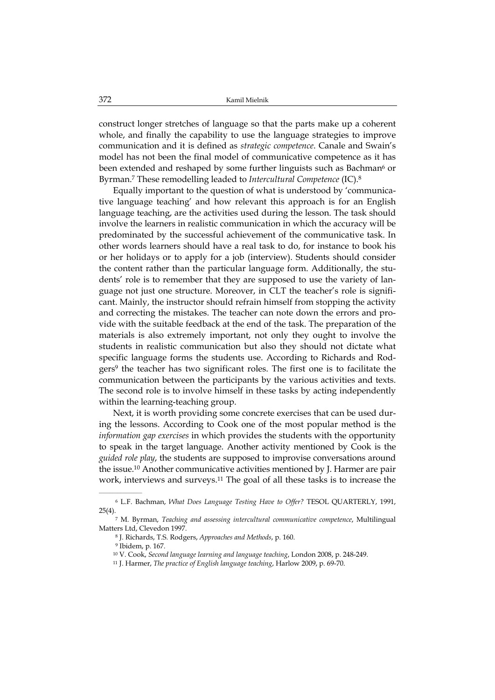construct longer stretches of language so that the parts make up a coherent whole, and finally the capability to use the language strategies to improve communication and it is defined as *strategic competence*. Canale and Swain's model has not been the final model of communicative competence as it has been extended and reshaped by some further linguists such as Bachman<sup>6</sup> or Byrman.7 These remodelling leaded to *Intercultural Competence* (IC).8

Equally important to the question of what is understood by 'communicative language teaching' and how relevant this approach is for an English language teaching, are the activities used during the lesson. The task should involve the learners in realistic communication in which the accuracy will be predominated by the successful achievement of the communicative task. In other words learners should have a real task to do, for instance to book his or her holidays or to apply for a job (interview). Students should consider the content rather than the particular language form. Additionally, the students' role is to remember that they are supposed to use the variety of language not just one structure. Moreover, in CLT the teacher's role is significant. Mainly, the instructor should refrain himself from stopping the activity and correcting the mistakes. The teacher can note down the errors and provide with the suitable feedback at the end of the task. The preparation of the materials is also extremely important, not only they ought to involve the students in realistic communication but also they should not dictate what specific language forms the students use. According to Richards and Rodgers9 the teacher has two significant roles. The first one is to facilitate the communication between the participants by the various activities and texts. The second role is to involve himself in these tasks by acting independently within the learning-teaching group.

Next, it is worth providing some concrete exercises that can be used during the lessons. According to Cook one of the most popular method is the *information gap exercises* in which provides the students with the opportunity to speak in the target language. Another activity mentioned by Cook is the *guided role play*, the students are supposed to improvise conversations around the issue.10 Another communicative activities mentioned by J. Harmer are pair work, interviews and surveys.<sup>11</sup> The goal of all these tasks is to increase the

<sup>6</sup> L.F. Bachman, *What Does Language Testing Have to Offer?* TESOL QUARTERLY, 1991,  $25(4)$ .

<sup>7</sup> M. Byrman, *Teaching and assessing intercultural communicative competence*, Multilingual Matters Ltd, Clevedon 1997.

<sup>8</sup> J. Richards, T.S. Rodgers, *Approaches and Methods*, p. 160.

<sup>9</sup> Ibidem, p. 167.

<sup>10</sup> V. Cook, *Second language learning and language teaching*, London 2008, p. 248-249.

<sup>11</sup> J. Harmer, *The practice of English language teaching*, Harlow 2009, p. 69-70.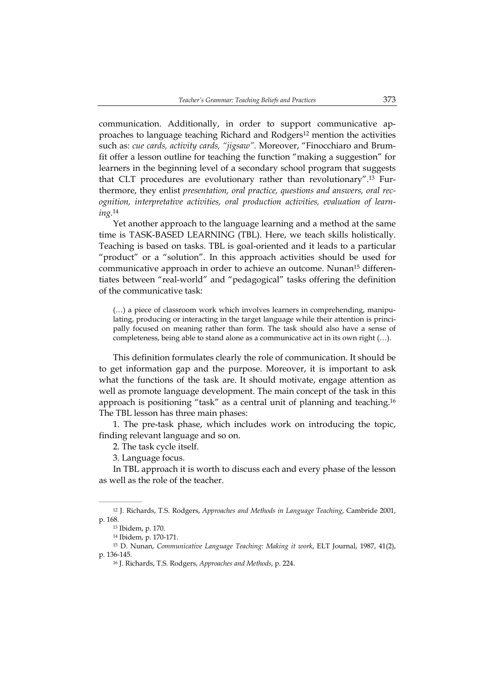communication. Additionally, in order to support communicative approaches to language teaching Richard and Rodgers<sup>12</sup> mention the activities such as: *cue cards, activity cards, "jigsaw".* Moreover, "Finocchiaro and Brumfit offer a lesson outline for teaching the function "making a suggestion" for learners in the beginning level of a secondary school program that suggests that CLT procedures are evolutionary rather than revolutionary".13 Furthermore, they enlist *presentation, oral practice, questions and answers, oral recognition, interpretative activities, oral production activities, evaluation of learning.*<sup>14</sup>

Yet another approach to the language learning and a method at the same time is TASK-BASED LEARNING (TBL). Here, we teach skills holistically. Teaching is based on tasks. TBL is goal-oriented and it leads to a particular "product" or a "solution". In this approach activities should be used for communicative approach in order to achieve an outcome. Nunan15 differentiates between "real-world" and "pedagogical" tasks offering the definition of the communicative task:

(…) a piece of classroom work which involves learners in comprehending, manipulating, producing or interacting in the target language while their attention is principally focused on meaning rather than form. The task should also have a sense of completeness, being able to stand alone as a communicative act in its own right (…).

This definition formulates clearly the role of communication. It should be to get information gap and the purpose. Moreover, it is important to ask what the functions of the task are. It should motivate, engage attention as well as promote language development. The main concept of the task in this approach is positioning "task" as a central unit of planning and teaching.16 The TBL lesson has three main phases:

1. The pre-task phase, which includes work on introducing the topic, finding relevant language and so on.

2. The task cycle itself.

3. Language focus.

In TBL approach it is worth to discuss each and every phase of the lesson as well as the role of the teacher.

<sup>12</sup> J. Richards, T.S. Rodgers, *Approaches and Methods in Language Teaching*, Cambride 2001, p. 168.

<sup>13</sup> Ibidem, p. 170.

<sup>14</sup> Ibidem, p. 170-171.

<sup>15</sup> D. Nunan, *Communicative Language Teaching: Making it work*, ELT Journal, 1987, 41(2), p. 136-145.

<sup>16</sup> J. Richards, T.S. Rodgers, *Approaches and Methods*, p. 224.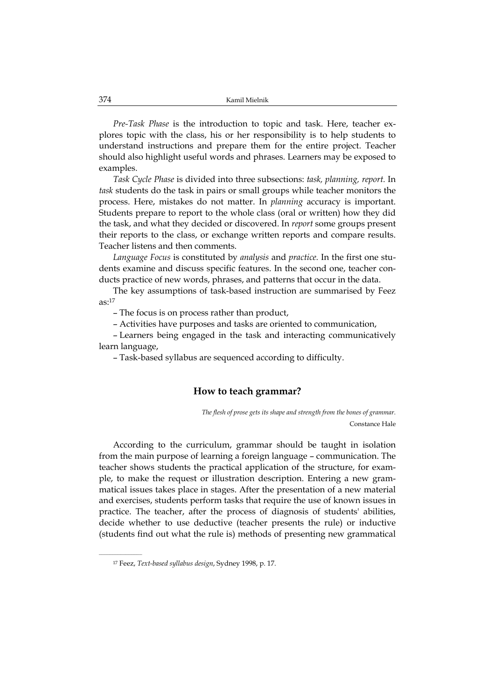*Pre-Task Phase* is the introduction to topic and task. Here, teacher explores topic with the class, his or her responsibility is to help students to understand instructions and prepare them for the entire project. Teacher should also highlight useful words and phrases. Learners may be exposed to examples.

*Task Cycle Phase* is divided into three subsections: *task, planning, report.* In *task* students do the task in pairs or small groups while teacher monitors the process. Here, mistakes do not matter. In *planning* accuracy is important. Students prepare to report to the whole class (oral or written) how they did the task, and what they decided or discovered. In *report* some groups present their reports to the class, or exchange written reports and compare results. Teacher listens and then comments.

*Language Focus* is constituted by *analysis* and *practice.* In the first one students examine and discuss specific features. In the second one, teacher conducts practice of new words, phrases, and patterns that occur in the data.

The key assumptions of task-based instruction are summarised by Feez  $as:17$ 

– The focus is on process rather than product,

– Activities have purposes and tasks are oriented to communication,

– Learners being engaged in the task and interacting communicatively learn language,

– Task-based syllabus are sequenced according to difficulty.

### **How to teach grammar?**

*The flesh of prose gets its shape and strength from the bones of grammar.*  Constance Hale

According to the curriculum, grammar should be taught in isolation from the main purpose of learning a foreign language – communication. The teacher shows students the practical application of the structure, for example, to make the request or illustration description. Entering a new grammatical issues takes place in stages. After the presentation of a new material and exercises, students perform tasks that require the use of known issues in practice. The teacher, after the process of diagnosis of students' abilities, decide whether to use deductive (teacher presents the rule) or inductive (students find out what the rule is) methods of presenting new grammatical

<sup>17</sup> Feez, *Text-based syllabus design*, Sydney 1998, p. 17.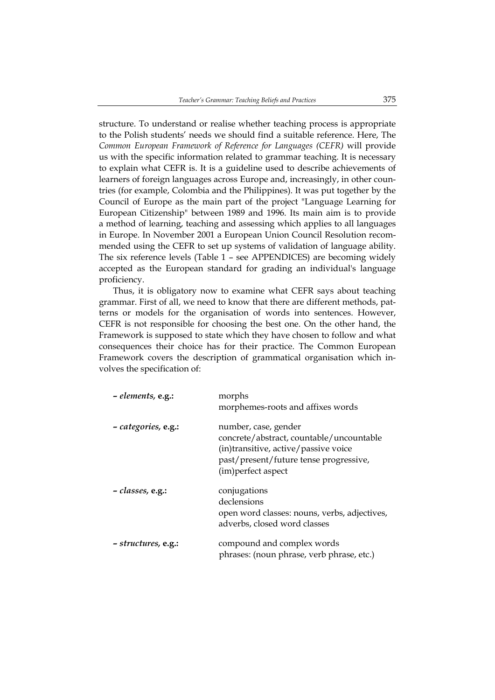structure. To understand or realise whether teaching process is appropriate to the Polish students' needs we should find a suitable reference. Here, The *Common European Framework of Reference for Languages (CEFR)* will provide us with the specific information related to grammar teaching. It is necessary to explain what CEFR is. It is a guideline used to describe achievements of learners of foreign languages across Europe and, increasingly, in other countries (for example, Colombia and the Philippines). It was put together by the Council of Europe as the main part of the project "Language Learning for European Citizenship" between 1989 and 1996. Its main aim is to provide a method of learning, teaching and assessing which applies to all languages in Europe. In November 2001 a European Union Council Resolution recommended using the CEFR to set up systems of validation of language ability. The six reference levels (Table 1 – see APPENDICES) are becoming widely accepted as the European standard for grading an individual's language proficiency.

Thus, it is obligatory now to examine what CEFR says about teaching grammar. First of all, we need to know that there are different methods, patterns or models for the organisation of words into sentences. However, CEFR is not responsible for choosing the best one. On the other hand, the Framework is supposed to state which they have chosen to follow and what consequences their choice has for their practice. The Common European Framework covers the description of grammatical organisation which involves the specification of:

| - elements, e.g.:   | morphs<br>morphemes-roots and affixes words                                                                                                                              |
|---------------------|--------------------------------------------------------------------------------------------------------------------------------------------------------------------------|
| - categories, e.g.: | number, case, gender<br>concrete/abstract, countable/uncountable<br>(in)transitive, active/passive voice<br>past/present/future tense progressive,<br>(im)perfect aspect |
| $- classes, e.g.:$  | conjugations<br>declensions<br>open word classes: nouns, verbs, adjectives,<br>adverbs, closed word classes                                                              |
| - structures, e.g.: | compound and complex words<br>phrases: (noun phrase, verb phrase, etc.)                                                                                                  |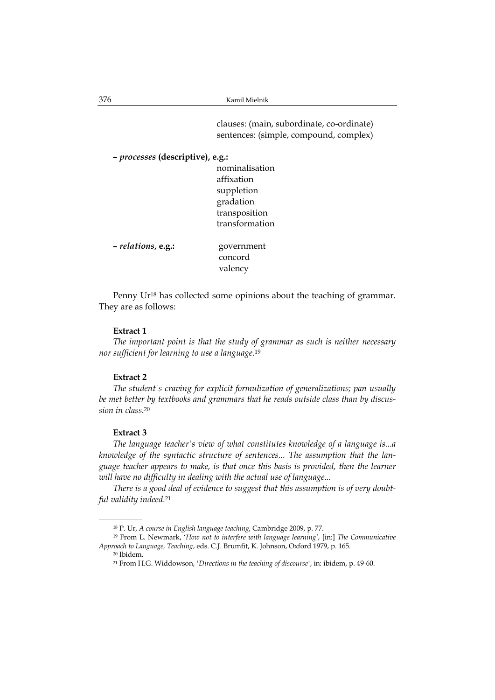clauses: (main, subordinate, co-ordinate) sentences: (simple, compound, complex)

```
– processes (descriptive), e.g.:
```

|                    | nominalisation |
|--------------------|----------------|
|                    | affixation     |
|                    | suppletion     |
|                    | gradation      |
|                    | transposition  |
|                    | transformation |
| - relations, e.g.: | government     |
|                    | concord        |

Penny Ur<sup>18</sup> has collected some opinions about the teaching of grammar. They are as follows:

valency

#### **Extract 1**

*The important point is that the study of grammar as such is neither necessary nor sufficient for learning to use a language*.19

#### **Extract 2**

*The student's craving for explicit formulization of generalizations; pan usually be met better by textbooks and grammars that he reads outside class than by discussion in class*.20

#### **Extract 3**

*The language teacher's view of what constitutes knowledge of a language is...a knowledge of the syntactic structure of sentences... The assumption that the language teacher appears to make, is that once this basis is provided, then the learner will have no difficulty in dealing with the actual use of language...* 

*There is a good deal of evidence to suggest that this assumption is of very doubtful validity indeed.*<sup>21</sup>

<sup>18</sup> P. Ur, *A course in English language teaching*, Cambridge 2009, p. 77.

<sup>19</sup> From L. Newmark, '*How not to interfere with language learning'*, [in:] *The Communicative Approach to Language, Teaching*, eds. C.J. Brumfit, K. Johnson, Oxford 1979, p. 165.

<sup>20</sup> Ibidem.

<sup>21</sup> From H.G. Widdowson, *'Directions in the teaching of discourse'*, in: ibidem, p. 49-60.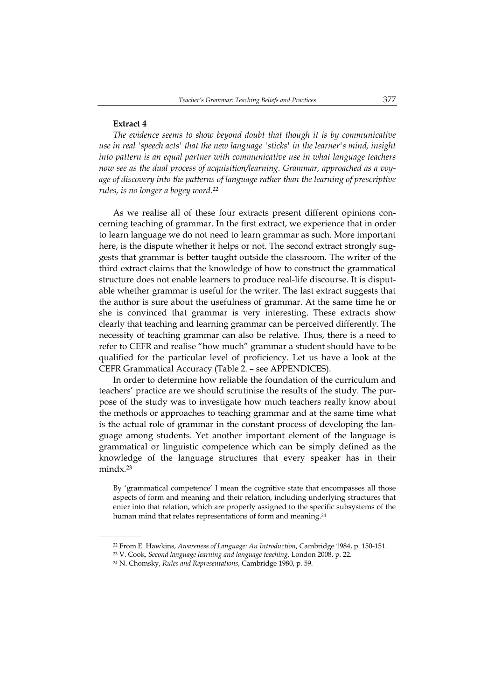#### **Extract 4**

 $\mathcal{L}=\mathcal{L}=\mathcal{L}=\mathcal{L}=\mathcal{L}=\mathcal{L}$ 

*The evidence seems to show beyond doubt that though it is by communicative use in real 'speech acts' that the new language 'sticks' in the learner's mind, insight into pattern is an equal partner with communicative use in what language teachers now see as the dual process of acquisition/learning. Grammar, approached as a voyage of discovery into the patterns of language rather than the learning of prescriptive rules, is no longer a bogey word*.22

As we realise all of these four extracts present different opinions concerning teaching of grammar. In the first extract, we experience that in order to learn language we do not need to learn grammar as such. More important here, is the dispute whether it helps or not. The second extract strongly suggests that grammar is better taught outside the classroom. The writer of the third extract claims that the knowledge of how to construct the grammatical structure does not enable learners to produce real-life discourse. It is disputable whether grammar is useful for the writer. The last extract suggests that the author is sure about the usefulness of grammar. At the same time he or she is convinced that grammar is very interesting. These extracts show clearly that teaching and learning grammar can be perceived differently. The necessity of teaching grammar can also be relative. Thus, there is a need to refer to CEFR and realise "how much" grammar a student should have to be qualified for the particular level of proficiency. Let us have a look at the CEFR Grammatical Accuracy (Table 2. – see APPENDICES).

In order to determine how reliable the foundation of the curriculum and teachers' practice are we should scrutinise the results of the study. The purpose of the study was to investigate how much teachers really know about the methods or approaches to teaching grammar and at the same time what is the actual role of grammar in the constant process of developing the language among students. Yet another important element of the language is grammatical or linguistic competence which can be simply defined as the knowledge of the language structures that every speaker has in their mindx.23

By 'grammatical competence' I mean the cognitive state that encompasses all those aspects of form and meaning and their relation, including underlying structures that enter into that relation, which are properly assigned to the specific subsystems of the human mind that relates representations of form and meaning.24

<sup>22</sup> From E. Hawkins, *Awareness of Language: An Introduction*, Cambridge 1984, p. 150-151.

<sup>23</sup> V. Cook, *Second language learning and language teaching*, London 2008, p. 22.

<sup>24</sup> N. Chomsky, *Rules and Representations*, Cambridge 1980, p. 59.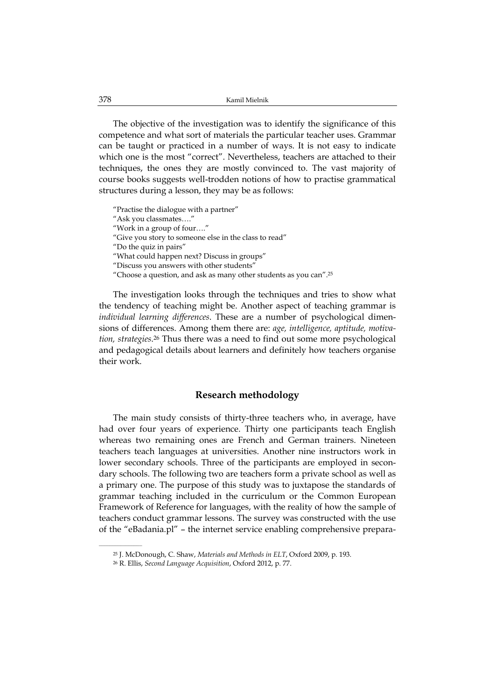The objective of the investigation was to identify the significance of this competence and what sort of materials the particular teacher uses. Grammar can be taught or practiced in a number of ways. It is not easy to indicate which one is the most "correct". Nevertheless, teachers are attached to their techniques, the ones they are mostly convinced to. The vast majority of course books suggests well-trodden notions of how to practise grammatical structures during a lesson, they may be as follows:

"Practise the dialogue with a partner" "Ask you classmates…." "Work in a group of four…." "Give you story to someone else in the class to read" "Do the quiz in pairs" "What could happen next? Discuss in groups" "Discuss you answers with other students" "Choose a question, and ask as many other students as you can".25

The investigation looks through the techniques and tries to show what the tendency of teaching might be. Another aspect of teaching grammar is *individual learning differences*. These are a number of psychological dimensions of differences. Among them there are: *age, intelligence, aptitude, motivation, strategies*.26 Thus there was a need to find out some more psychological and pedagogical details about learners and definitely how teachers organise their work.

### **Research methodology**

The main study consists of thirty-three teachers who, in average, have had over four years of experience. Thirty one participants teach English whereas two remaining ones are French and German trainers. Nineteen teachers teach languages at universities. Another nine instructors work in lower secondary schools. Three of the participants are employed in secondary schools. The following two are teachers form a private school as well as a primary one. The purpose of this study was to juxtapose the standards of grammar teaching included in the curriculum or the Common European Framework of Reference for languages, with the reality of how the sample of teachers conduct grammar lessons. The survey was constructed with the use of the "eBadania.pl" – the internet service enabling comprehensive prepara-

<sup>25</sup> J. McDonough, C. Shaw, *Materials and Methods in ELT*, Oxford 2009, p. 193.

<sup>26</sup> R. Ellis, *Second Language Acquisition*, Oxford 2012, p. 77.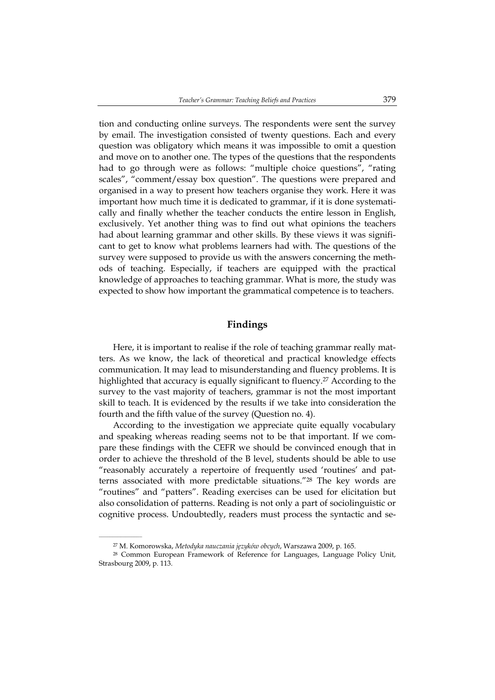tion and conducting online surveys. The respondents were sent the survey by email. The investigation consisted of twenty questions. Each and every question was obligatory which means it was impossible to omit a question and move on to another one. The types of the questions that the respondents had to go through were as follows: "multiple choice questions", "rating scales", "comment/essay box question". The questions were prepared and organised in a way to present how teachers organise they work. Here it was important how much time it is dedicated to grammar, if it is done systematically and finally whether the teacher conducts the entire lesson in English, exclusively. Yet another thing was to find out what opinions the teachers had about learning grammar and other skills. By these views it was significant to get to know what problems learners had with. The questions of the survey were supposed to provide us with the answers concerning the methods of teaching. Especially, if teachers are equipped with the practical knowledge of approaches to teaching grammar. What is more, the study was expected to show how important the grammatical competence is to teachers.

# **Findings**

Here, it is important to realise if the role of teaching grammar really matters. As we know, the lack of theoretical and practical knowledge effects communication. It may lead to misunderstanding and fluency problems. It is highlighted that accuracy is equally significant to fluency.27 According to the survey to the vast majority of teachers, grammar is not the most important skill to teach. It is evidenced by the results if we take into consideration the fourth and the fifth value of the survey (Question no. 4).

According to the investigation we appreciate quite equally vocabulary and speaking whereas reading seems not to be that important. If we compare these findings with the CEFR we should be convinced enough that in order to achieve the threshold of the B level, students should be able to use "reasonably accurately a repertoire of frequently used 'routines' and patterns associated with more predictable situations."28 The key words are "routines" and "patters". Reading exercises can be used for elicitation but also consolidation of patterns. Reading is not only a part of sociolinguistic or cognitive process. Undoubtedly, readers must process the syntactic and se-

<sup>27</sup> M. Komorowska, *Metodyka nauczania języków obcych*, Warszawa 2009, p. 165.

<sup>28</sup> Common European Framework of Reference for Languages, Language Policy Unit, Strasbourg 2009, p. 113.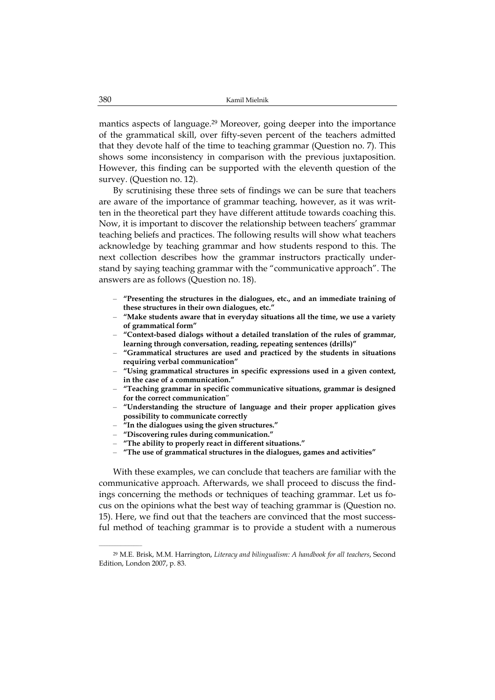mantics aspects of language.29 Moreover, going deeper into the importance of the grammatical skill, over fifty-seven percent of the teachers admitted that they devote half of the time to teaching grammar (Question no. 7). This shows some inconsistency in comparison with the previous juxtaposition. However, this finding can be supported with the eleventh question of the survey. (Question no. 12).

By scrutinising these three sets of findings we can be sure that teachers are aware of the importance of grammar teaching, however, as it was written in the theoretical part they have different attitude towards coaching this. Now, it is important to discover the relationship between teachers' grammar teaching beliefs and practices. The following results will show what teachers acknowledge by teaching grammar and how students respond to this. The next collection describes how the grammar instructors practically understand by saying teaching grammar with the "communicative approach". The answers are as follows (Question no. 18).

- **"Presenting the structures in the dialogues, etc., and an immediate training of these structures in their own dialogues, etc."**
- **"Make students aware that in everyday situations all the time, we use a variety of grammatical form"**
- **"Context-based dialogs without a detailed translation of the rules of grammar, learning through conversation, reading, repeating sentences (drills)"**
- **"Grammatical structures are used and practiced by the students in situations requiring verbal communication"**
- **"Using grammatical structures in specific expressions used in a given context, in the case of a communication."**
- **"Teaching grammar in specific communicative situations, grammar is designed for the correct communication**"
- **"Understanding the structure of language and their proper application gives possibility to communicate correctly**
- **"In the dialogues using the given structures."**
- **"Discovering rules during communication."**

 $\mathcal{L}=\mathcal{L}=\mathcal{L}=\mathcal{L}=\mathcal{L}=\mathcal{L}$ 

- **"The ability to properly react in different situations."**
- **"The use of grammatical structures in the dialogues, games and activities"**

With these examples, we can conclude that teachers are familiar with the communicative approach. Afterwards, we shall proceed to discuss the findings concerning the methods or techniques of teaching grammar. Let us focus on the opinions what the best way of teaching grammar is (Question no. 15). Here, we find out that the teachers are convinced that the most successful method of teaching grammar is to provide a student with a numerous

<sup>29</sup> M.E. Brisk, M.M. Harrington, *Literacy and bilingualism: A handbook for all teachers*, Second Edition, London 2007, p. 83.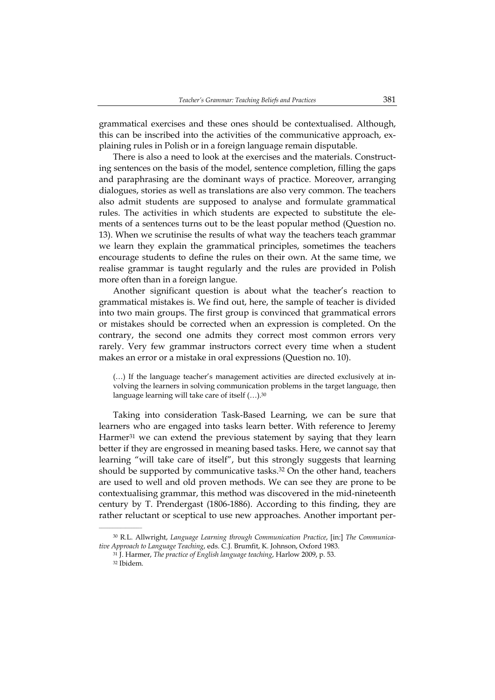grammatical exercises and these ones should be contextualised. Although, this can be inscribed into the activities of the communicative approach, explaining rules in Polish or in a foreign language remain disputable.

There is also a need to look at the exercises and the materials. Constructing sentences on the basis of the model, sentence completion, filling the gaps and paraphrasing are the dominant ways of practice. Moreover, arranging dialogues, stories as well as translations are also very common. The teachers also admit students are supposed to analyse and formulate grammatical rules. The activities in which students are expected to substitute the elements of a sentences turns out to be the least popular method (Question no. 13). When we scrutinise the results of what way the teachers teach grammar we learn they explain the grammatical principles, sometimes the teachers encourage students to define the rules on their own. At the same time, we realise grammar is taught regularly and the rules are provided in Polish more often than in a foreign langue.

Another significant question is about what the teacher's reaction to grammatical mistakes is. We find out, here, the sample of teacher is divided into two main groups. The first group is convinced that grammatical errors or mistakes should be corrected when an expression is completed. On the contrary, the second one admits they correct most common errors very rarely. Very few grammar instructors correct every time when a student makes an error or a mistake in oral expressions (Question no. 10).

(…) If the language teacher's management activities are directed exclusively at involving the learners in solving communication problems in the target language, then language learning will take care of itself (…).30

Taking into consideration Task-Based Learning, we can be sure that learners who are engaged into tasks learn better. With reference to Jeremy Harmer<sup>31</sup> we can extend the previous statement by saying that they learn better if they are engrossed in meaning based tasks. Here, we cannot say that learning "will take care of itself", but this strongly suggests that learning should be supported by communicative tasks.32 On the other hand, teachers are used to well and old proven methods. We can see they are prone to be contextualising grammar, this method was discovered in the mid-nineteenth century by T. Prendergast (1806-1886). According to this finding, they are rather reluctant or sceptical to use new approaches. Another important per-

<sup>30</sup> R.L. Allwright, *Language Learning through Communication Practice*, [in:] *The Communicative Approach to Language Teaching*, eds. C.J. Brumfit, K. Johnson, Oxford 1983.

<sup>31</sup> J. Harmer, *The practice of English language teaching*, Harlow 2009, p. 53.

<sup>32</sup> Ibidem.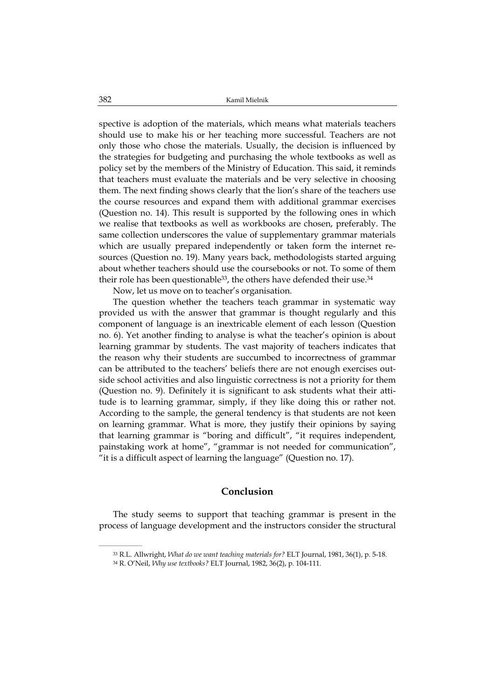spective is adoption of the materials, which means what materials teachers should use to make his or her teaching more successful. Teachers are not only those who chose the materials. Usually, the decision is influenced by the strategies for budgeting and purchasing the whole textbooks as well as policy set by the members of the Ministry of Education. This said, it reminds that teachers must evaluate the materials and be very selective in choosing them. The next finding shows clearly that the lion's share of the teachers use the course resources and expand them with additional grammar exercises (Question no. 14). This result is supported by the following ones in which we realise that textbooks as well as workbooks are chosen, preferably. The same collection underscores the value of supplementary grammar materials which are usually prepared independently or taken form the internet resources (Question no. 19). Many years back, methodologists started arguing about whether teachers should use the coursebooks or not. To some of them their role has been questionable<sup>33</sup>, the others have defended their use.<sup>34</sup>

Now, let us move on to teacher's organisation.

The question whether the teachers teach grammar in systematic way provided us with the answer that grammar is thought regularly and this component of language is an inextricable element of each lesson (Question no. 6). Yet another finding to analyse is what the teacher's opinion is about learning grammar by students. The vast majority of teachers indicates that the reason why their students are succumbed to incorrectness of grammar can be attributed to the teachers' beliefs there are not enough exercises outside school activities and also linguistic correctness is not a priority for them (Question no. 9). Definitely it is significant to ask students what their attitude is to learning grammar, simply, if they like doing this or rather not. According to the sample, the general tendency is that students are not keen on learning grammar. What is more, they justify their opinions by saying that learning grammar is "boring and difficult", "it requires independent, painstaking work at home", "grammar is not needed for communication", "it is a difficult aspect of learning the language" (Question no. 17).

## **Conclusion**

The study seems to support that teaching grammar is present in the process of language development and the instructors consider the structural

<sup>33</sup> R.L. Allwright, *What do we want teaching materials for?* ELT Journal, 1981, 36(1), p. 5-18.

<sup>34</sup> R. O'Neil, *Why use textbooks?* ELT Journal, 1982, 36(2), p. 104-111.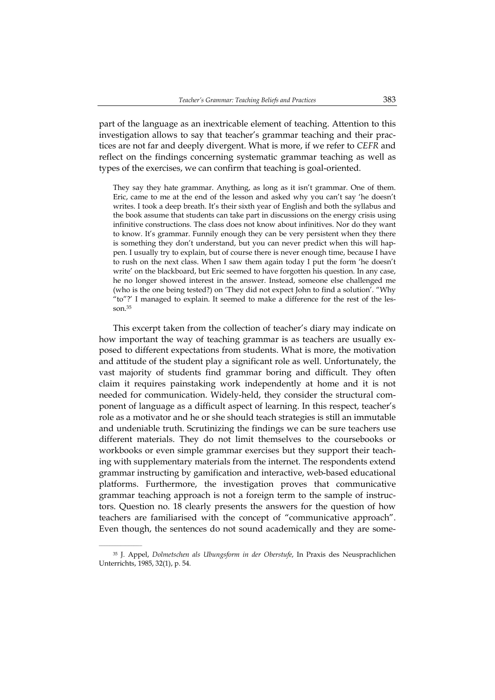part of the language as an inextricable element of teaching. Attention to this investigation allows to say that teacher's grammar teaching and their practices are not far and deeply divergent. What is more, if we refer to *CEFR* and reflect on the findings concerning systematic grammar teaching as well as types of the exercises, we can confirm that teaching is goal-oriented.

They say they hate grammar. Anything, as long as it isn't grammar. One of them. Eric, came to me at the end of the lesson and asked why you can't say 'he doesn't writes. I took a deep breath. It's their sixth year of English and both the syllabus and the book assume that students can take part in discussions on the energy crisis using infinitive constructions. The class does not know about infinitives. Nor do they want to know. It's grammar. Funnily enough they can be very persistent when they there is something they don't understand, but you can never predict when this will happen. I usually try to explain, but of course there is never enough time, because I have to rush on the next class. When I saw them again today I put the form 'he doesn't write' on the blackboard, but Eric seemed to have forgotten his question. In any case, he no longer showed interest in the answer. Instead, someone else challenged me (who is the one being tested?) on 'They did not expect John to find a solution'. "Why "to"?' I managed to explain. It seemed to make a difference for the rest of the lesson.35

This excerpt taken from the collection of teacher's diary may indicate on how important the way of teaching grammar is as teachers are usually exposed to different expectations from students. What is more, the motivation and attitude of the student play a significant role as well. Unfortunately, the vast majority of students find grammar boring and difficult. They often claim it requires painstaking work independently at home and it is not needed for communication. Widely-held, they consider the structural component of language as a difficult aspect of learning. In this respect, teacher's role as a motivator and he or she should teach strategies is still an immutable and undeniable truth. Scrutinizing the findings we can be sure teachers use different materials. They do not limit themselves to the coursebooks or workbooks or even simple grammar exercises but they support their teaching with supplementary materials from the internet. The respondents extend grammar instructing by gamification and interactive, web-based educational platforms. Furthermore, the investigation proves that communicative grammar teaching approach is not a foreign term to the sample of instructors. Question no. 18 clearly presents the answers for the question of how teachers are familiarised with the concept of "communicative approach". Even though, the sentences do not sound academically and they are some-

<sup>35</sup> J. Appel, *Dolmetschen als Ubungsform in der Oberstufe*, In Praxis des Neusprachlichen Unterrichts, 1985, 32(1), p. 54.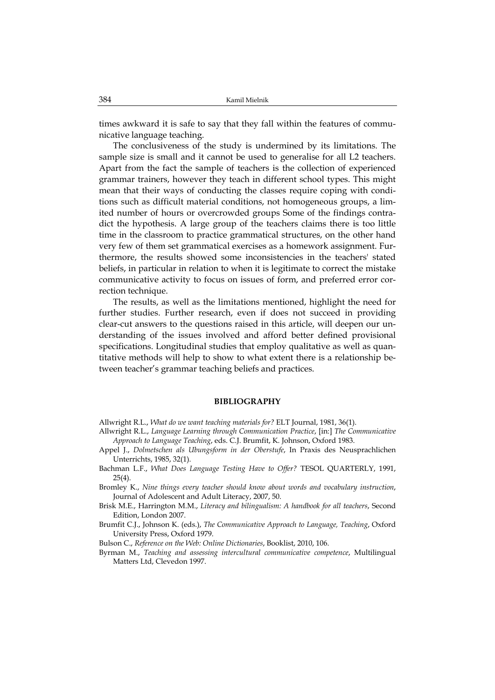times awkward it is safe to say that they fall within the features of communicative language teaching.

The conclusiveness of the study is undermined by its limitations. The sample size is small and it cannot be used to generalise for all L2 teachers. Apart from the fact the sample of teachers is the collection of experienced grammar trainers, however they teach in different school types. This might mean that their ways of conducting the classes require coping with conditions such as difficult material conditions, not homogeneous groups, a limited number of hours or overcrowded groups Some of the findings contradict the hypothesis. A large group of the teachers claims there is too little time in the classroom to practice grammatical structures, on the other hand very few of them set grammatical exercises as a homework assignment. Furthermore, the results showed some inconsistencies in the teachers' stated beliefs, in particular in relation to when it is legitimate to correct the mistake communicative activity to focus on issues of form, and preferred error correction technique.

The results, as well as the limitations mentioned, highlight the need for further studies. Further research, even if does not succeed in providing clear-cut answers to the questions raised in this article, will deepen our understanding of the issues involved and afford better defined provisional specifications. Longitudinal studies that employ qualitative as well as quantitative methods will help to show to what extent there is a relationship between teacher's grammar teaching beliefs and practices.

#### **BIBLIOGRAPHY**

Allwright R.L., *What do we want teaching materials for?* ELT Journal, 1981, 36(1).

- Allwright R.L., *Language Learning through Communication Practice*, [in:] *The Communicative Approach to Language Teaching*, eds. C.J. Brumfit, K. Johnson, Oxford 1983.
- Appel J., *Dolmetschen als Ubungsform in der Oberstufe*, In Praxis des Neusprachlichen Unterrichts, 1985, 32(1).
- Bachman L.F., *What Does Language Testing Have to Offer?* TESOL QUARTERLY, 1991, 25(4).
- Bromley K., *Nine things every teacher should know about words and vocabulary instruction*, Journal of Adolescent and Adult Literacy, 2007, 50.
- Brisk M.E., Harrington M.M., *Literacy and bilingualism: A handbook for all teachers*, Second Edition, London 2007.
- Brumfit C.J., Johnson K. (eds.), *The Communicative Approach to Language, Teaching*, Oxford University Press, Oxford 1979.
- Bulson C., *Reference on the Web: Online Dictionaries*, Booklist, 2010, 106.
- Byrman M., *Teaching and assessing intercultural communicative competence*, Multilingual Matters Ltd, Clevedon 1997.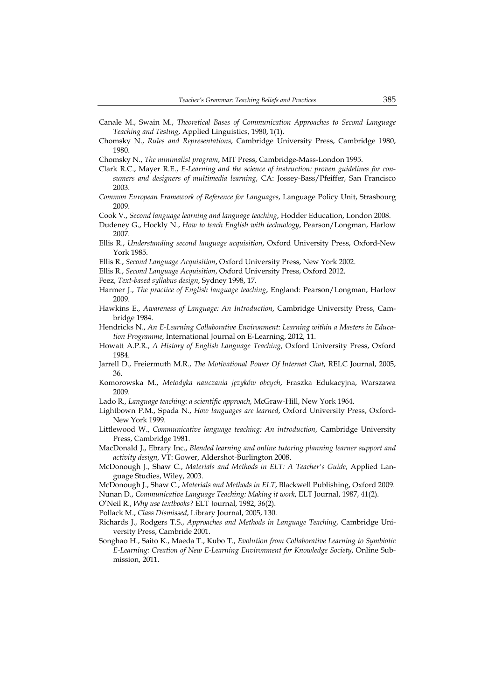- Canale M., Swain M., *Theoretical Bases of Communication Approaches to Second Language Teaching and Testing*, Applied Linguistics, 1980, 1(1).
- Chomsky N., *Rules and Representations*, Cambridge University Press, Cambridge 1980, 1980.
- Chomsky N., *The minimalist program*, MIT Press, Cambridge-Mass-London 1995.
- Clark R.C., Mayer R.E., *E-Learning and the science of instruction: proven guidelines for consumers and designers of multimedia learning*, CA: Jossey-Bass/Pfeiffer, San Francisco 2003.
- *Common European Framework of Reference for Languages*, Language Policy Unit, Strasbourg 2009.
- Cook V., *Second language learning and language teaching*, Hodder Education, London 2008.
- Dudeney G., Hockly N., *How to teach English with technology*, Pearson/Longman, Harlow 2007.
- Ellis R., *Understanding second language acquisition*, Oxford University Press, Oxford-New York 1985.
- Ellis R., *Second Language Acquisition*, Oxford University Press, New York 2002.
- Ellis R., *Second Language Acquisition*, Oxford University Press, Oxford 2012.
- Feez, *Text-based syllabus design*, Sydney 1998, 17.
- Harmer J., *The practice of English language teaching*, England: Pearson/Longman, Harlow 2009.
- Hawkins E., *Awareness of Language: An Introduction*, Cambridge University Press, Cambridge 1984.
- Hendricks N., *An E-Learning Collaborative Environment: Learning within a Masters in Education Programme*, International Journal on E-Learning, 2012, 11.
- Howatt A.P.R., *A History of English Language Teaching*, Oxford University Press, Oxford 1984.
- Jarrell D., Freiermuth M.R., *The Motivational Power Of Internet Chat*, RELC Journal, 2005, 36.
- Komorowska M., *Metodyka nauczania języków obcych*, Fraszka Edukacyjna, Warszawa 2009.
- Lado R., *Language teaching: a scientific approach*, McGraw-Hill, New York 1964.
- Lightbown P.M., Spada N., *How languages are learned*, Oxford University Press, Oxford-New York 1999.
- Littlewood W., *Communicative language teaching: An introduction*, Cambridge University Press, Cambridge 1981.
- MacDonald J., Ebrary Inc., *Blended learning and online tutoring planning learner support and activity design*, VT: Gower, Aldershot-Burlington 2008.
- McDonough J., Shaw C., *Materials and Methods in ELT: A Teacher's Guide*, Applied Language Studies, Wiley, 2003.
- McDonough J., Shaw C., *Materials and Methods in ELT*, Blackwell Publishing, Oxford 2009.
- Nunan D., *Communicative Language Teaching: Making it work*, ELT Journal, 1987, 41(2).

O'Neil R., *Why use textbooks?* ELT Journal, 1982, 36(2).

- Pollack M., *Class Dismissed*, Library Journal, 2005, 130.
- Richards J., Rodgers T.S., *Approaches and Methods in Language Teaching*, Cambridge University Press, Cambride 2001.
- Songhao H., Saito K., Maeda T., Kubo T., *Evolution from Collaborative Learning to Symbiotic E-Learning: Creation of New E-Learning Environment for Knowledge Society*, Online Submission, 2011.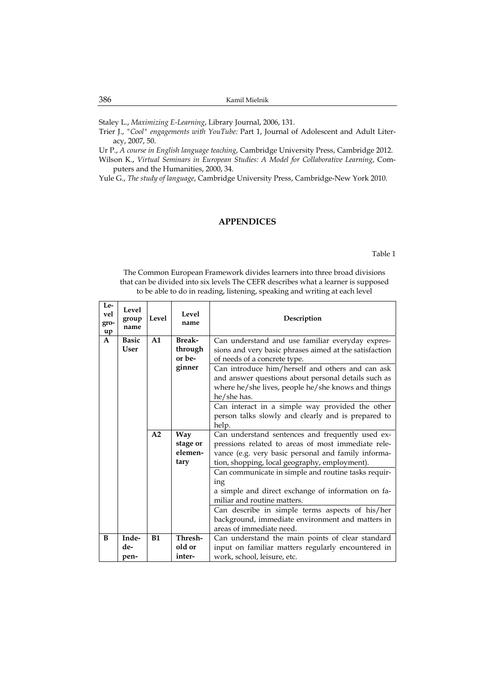Staley L., *Maximizing E-Learning*, Library Journal, 2006, 131.

- Trier J., *"Cool" engagements with YouTube:* Part 1, Journal of Adolescent and Adult Literacy, 2007, 50.
- Ur P., *A course in English language teaching*, Cambridge University Press, Cambridge 2012.
- Wilson K., *Virtual Seminars in European Studies: A Model for Collaborative Learning*, Computers and the Humanities, 2000, 34.
- Yule G., *The study of language*, Cambridge University Press, Cambridge-New York 2010.

### **APPENDICES**

Table 1

The Common European Framework divides learners into three broad divisions that can be divided into six levels The CEFR describes what a learner is supposed to be able to do in reading, listening, speaking and writing at each level

| Le-<br>vel<br>gro-<br>up | Level<br>group<br>name | Level          | Level<br>name | Description                                            |
|--------------------------|------------------------|----------------|---------------|--------------------------------------------------------|
| $\mathbf{A}$             | <b>Basic</b>           | A <sub>1</sub> | <b>Break-</b> | Can understand and use familiar everyday expres-       |
|                          | <b>User</b>            |                | through       | sions and very basic phrases aimed at the satisfaction |
|                          |                        |                | or be-        | of needs of a concrete type.                           |
|                          |                        |                | ginner        | Can introduce him/herself and others and can ask       |
|                          |                        |                |               | and answer questions about personal details such as    |
|                          |                        |                |               | where he/she lives, people he/she knows and things     |
|                          |                        |                |               | he/she has.                                            |
|                          |                        |                |               | Can interact in a simple way provided the other        |
|                          |                        |                |               | person talks slowly and clearly and is prepared to     |
|                          |                        |                |               | help.                                                  |
|                          |                        | A2             | <b>Way</b>    | Can understand sentences and frequently used ex-       |
|                          |                        |                | stage or      | pressions related to areas of most immediate rele-     |
|                          |                        |                | elemen-       | vance (e.g. very basic personal and family informa-    |
|                          |                        |                | tary          | tion, shopping, local geography, employment).          |
|                          |                        |                |               | Can communicate in simple and routine tasks requir-    |
|                          |                        |                |               | ing                                                    |
|                          |                        |                |               | a simple and direct exchange of information on fa-     |
|                          |                        |                |               | miliar and routine matters.                            |
|                          |                        |                |               | Can describe in simple terms aspects of his/her        |
|                          |                        |                |               | background, immediate environment and matters in       |
|                          |                        |                |               | areas of immediate need.                               |
| B                        | Inde-                  | B1             | Thresh-       | Can understand the main points of clear standard       |
|                          | de-                    |                | old or        | input on familiar matters regularly encountered in     |
|                          | pen-                   |                | inter-        | work, school, leisure, etc.                            |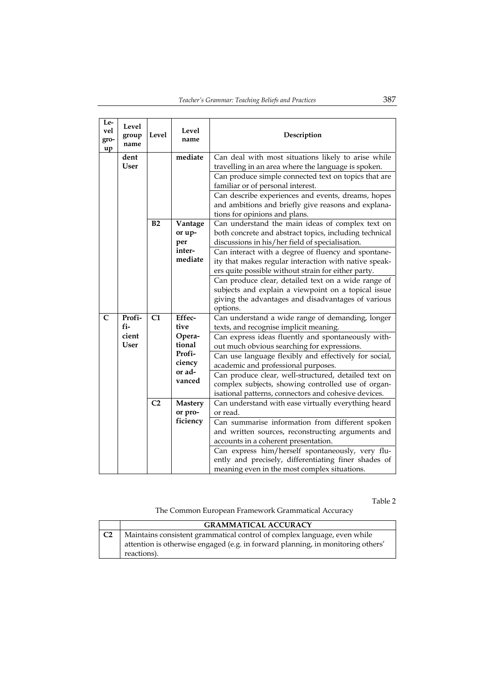| Le-<br>vel<br>gro-<br>up | Level<br>group<br>name | Level           | Level<br>name             | Description                                                                                                                                                                                                                                                                                              |
|--------------------------|------------------------|-----------------|---------------------------|----------------------------------------------------------------------------------------------------------------------------------------------------------------------------------------------------------------------------------------------------------------------------------------------------------|
|                          | dent<br><b>User</b>    |                 | mediate                   | Can deal with most situations likely to arise while<br>travelling in an area where the language is spoken.                                                                                                                                                                                               |
|                          |                        |                 |                           | Can produce simple connected text on topics that are<br>familiar or of personal interest.                                                                                                                                                                                                                |
|                          |                        |                 |                           | Can describe experiences and events, dreams, hopes<br>and ambitions and briefly give reasons and explana-<br>tions for opinions and plans.                                                                                                                                                               |
|                          |                        | B2              | Vantage<br>or up-<br>per  | Can understand the main ideas of complex text on<br>both concrete and abstract topics, including technical<br>discussions in his/her field of specialisation.                                                                                                                                            |
|                          |                        |                 | inter-<br>mediate         | Can interact with a degree of fluency and spontane-<br>ity that makes regular interaction with native speak-<br>ers quite possible without strain for either party.                                                                                                                                      |
|                          |                        |                 |                           | Can produce clear, detailed text on a wide range of<br>subjects and explain a viewpoint on a topical issue<br>giving the advantages and disadvantages of various<br>options.                                                                                                                             |
| $\mathsf{C}$             | Profi-<br>fi-          | C1              | Effec-<br>tive            | Can understand a wide range of demanding, longer<br>texts, and recognise implicit meaning.                                                                                                                                                                                                               |
|                          | cient<br><b>User</b>   |                 | Opera-<br>tional          | Can express ideas fluently and spontaneously with-<br>out much obvious searching for expressions.                                                                                                                                                                                                        |
|                          |                        |                 | Profi-<br>ciency          | Can use language flexibly and effectively for social,<br>academic and professional purposes.                                                                                                                                                                                                             |
|                          |                        |                 | or ad-<br>vanced          | Can produce clear, well-structured, detailed text on<br>complex subjects, showing controlled use of organ-<br>isational patterns, connectors and cohesive devices.                                                                                                                                       |
|                          |                        | $\overline{C2}$ | <b>Mastery</b><br>or pro- | Can understand with ease virtually everything heard<br>or read.                                                                                                                                                                                                                                          |
|                          |                        |                 | ficiency                  | Can summarise information from different spoken<br>and written sources, reconstructing arguments and<br>accounts in a coherent presentation.<br>Can express him/herself spontaneously, very flu-<br>ently and precisely, differentiating finer shades of<br>meaning even in the most complex situations. |

Table 2

The Common European Framework Grammatical Accuracy

|                | <b>GRAMMATICAL ACCURACY</b>                                                     |
|----------------|---------------------------------------------------------------------------------|
| C <sub>2</sub> | Maintains consistent grammatical control of complex language, even while        |
|                | attention is otherwise engaged (e.g. in forward planning, in monitoring others' |
|                | reactions).                                                                     |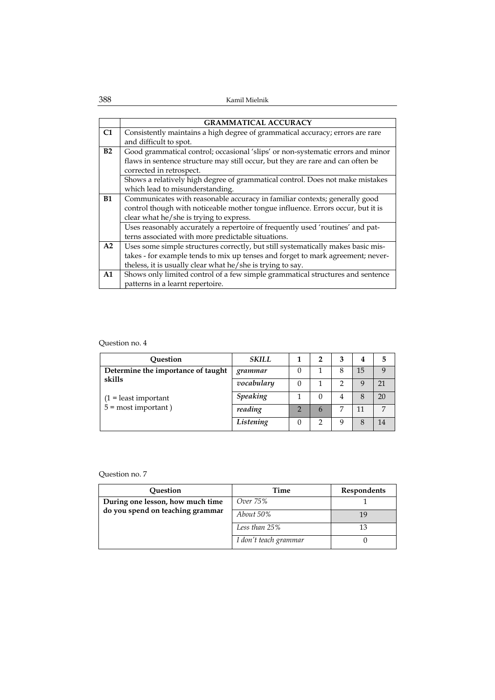|                | <b>GRAMMATICAL ACCURACY</b>                                                      |
|----------------|----------------------------------------------------------------------------------|
| C <sub>1</sub> | Consistently maintains a high degree of grammatical accuracy; errors are rare    |
|                | and difficult to spot.                                                           |
| B2             | Good grammatical control; occasional 'slips' or non-systematic errors and minor  |
|                | flaws in sentence structure may still occur, but they are rare and can often be  |
|                | corrected in retrospect.                                                         |
|                | Shows a relatively high degree of grammatical control. Does not make mistakes    |
|                | which lead to misunderstanding.                                                  |
| <b>B1</b>      | Communicates with reasonable accuracy in familiar contexts; generally good       |
|                | control though with noticeable mother tongue influence. Errors occur, but it is  |
|                | clear what he/she is trying to express.                                          |
|                | Uses reasonably accurately a repertoire of frequently used 'routines' and pat-   |
|                | terns associated with more predictable situations.                               |
| A2             | Uses some simple structures correctly, but still systematically makes basic mis- |
|                | takes - for example tends to mix up tenses and forget to mark agreement; never-  |
|                | theless, it is usually clear what he/she is trying to say.                       |
| A1             | Shows only limited control of a few simple grammatical structures and sentence   |
|                | patterns in a learnt repertoire.                                                 |

| Question                           | <b>SKILL</b>    | 2            | 3 | 4  |    |
|------------------------------------|-----------------|--------------|---|----|----|
| Determine the importance of taught | grammar         |              |   | 15 |    |
| skills                             | vocabulary      |              |   |    | 21 |
| $(1 =$ least important             | <b>Speaking</b> | $\mathbf{0}$ | 4 | 8  | 20 |
| $5 =$ most important)              | reading         | 6            |   | 11 |    |
|                                    | Listening       |              |   | 8  |    |

| Question                         | Time                  | <b>Respondents</b> |
|----------------------------------|-----------------------|--------------------|
| During one lesson, how much time | Over 75%              |                    |
| do you spend on teaching grammar | About 50%             |                    |
|                                  | Less than 25%         | 13                 |
|                                  | I don't teach grammar |                    |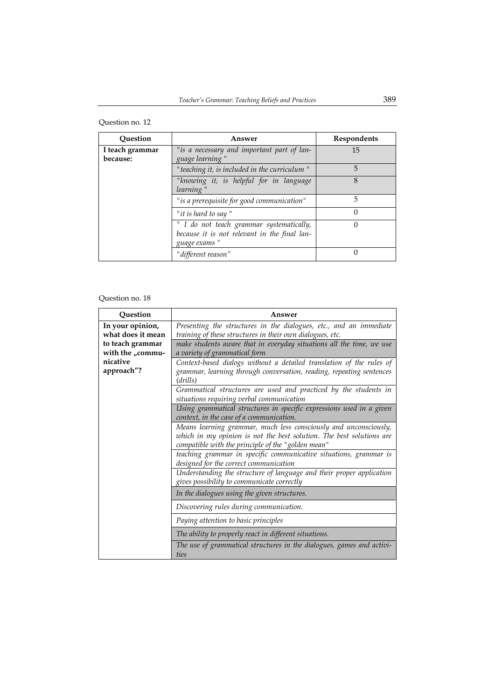| Question                    | Answer                                                                                                    | Respondents |
|-----------------------------|-----------------------------------------------------------------------------------------------------------|-------------|
| I teach grammar<br>because: | "is a necessary and important part of lan-<br>guage learning"                                             | 15          |
|                             | "teaching it, is included in the curriculum"                                                              | 5           |
|                             | "knowing it, is helpful for in language<br>learning"                                                      | 8           |
|                             | "is a prerequisite for good communication"                                                                | 5           |
|                             | "it is hard to say"                                                                                       | $\Omega$    |
|                             | " I do not teach grammar systematically,<br>because it is not relevant in the final lan-<br>guage exams " | $\Omega$    |
|                             | "different reason"                                                                                        | $\Omega$    |

| Question          | Answer                                                                        |  |  |
|-------------------|-------------------------------------------------------------------------------|--|--|
| In your opinion,  | Presenting the structures in the dialogues, etc., and an immediate            |  |  |
| what does it mean | training of these structures in their own dialogues, etc.                     |  |  |
| to teach grammar  | make students aware that in everyday situations all the time, we use          |  |  |
| with the "commu-  | a variety of grammatical form                                                 |  |  |
| nicative          | Context-based dialogs without a detailed translation of the rules of          |  |  |
| approach"?        | grammar, learning through conversation, reading, repeating sentences          |  |  |
|                   | (drills)                                                                      |  |  |
|                   | Grammatical structures are used and practiced by the students in              |  |  |
|                   | situations requiring verbal communication                                     |  |  |
|                   | Using grammatical structures in specific expressions used in a given          |  |  |
|                   | context, in the case of a communication.                                      |  |  |
|                   | Means learning grammar, much less consciously and unconsciously,              |  |  |
|                   | which in my opinion is not the best solution. The best solutions are          |  |  |
|                   | compatible with the principle of the "golden mean"                            |  |  |
|                   | teaching grammar in specific communicative situations, grammar is             |  |  |
|                   | designed for the correct communication                                        |  |  |
|                   | Understanding the structure of language and their proper application          |  |  |
|                   | gives possibility to communicate correctly                                    |  |  |
|                   | In the dialogues using the given structures.                                  |  |  |
|                   | Discovering rules during communication.                                       |  |  |
|                   | Paying attention to basic principles                                          |  |  |
|                   | The ability to properly react in different situations.                        |  |  |
|                   | The use of grammatical structures in the dialogues, games and activi-<br>ties |  |  |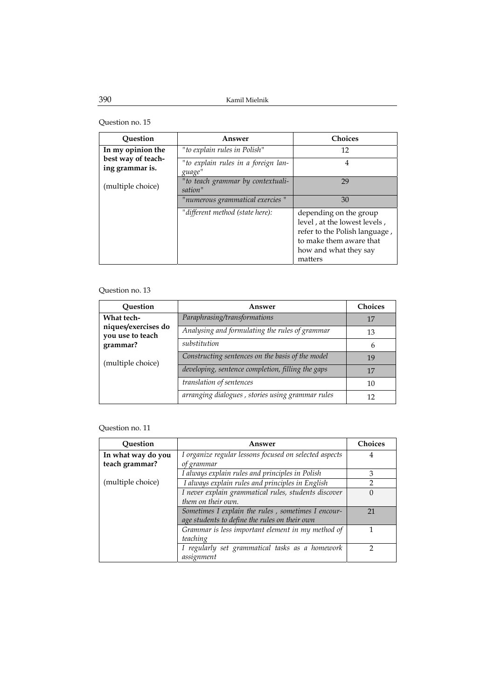| Ouestion                              | Answer                                        | <b>Choices</b>                                                                                                                                         |
|---------------------------------------|-----------------------------------------------|--------------------------------------------------------------------------------------------------------------------------------------------------------|
| In my opinion the                     | " to explain rules in Polish"                 | 12                                                                                                                                                     |
| best way of teach-<br>ing grammar is. | "to explain rules in a foreign lan-<br>guage" | 4                                                                                                                                                      |
| (multiple choice)                     | "to teach grammar by contextuali-<br>sation"  | 29                                                                                                                                                     |
|                                       | "numerous grammatical exercies "              | 30                                                                                                                                                     |
|                                       | "different method (state here):               | depending on the group<br>level, at the lowest levels,<br>refer to the Polish language,<br>to make them aware that<br>how and what they say<br>matters |

## Question no. 13

| Ouestion                                | Answer                                            | <b>Choices</b> |
|-----------------------------------------|---------------------------------------------------|----------------|
| What tech-                              | Paraphrasing/transformations                      | 17             |
| niques/exercises do<br>you use to teach | Analysing and formulating the rules of grammar    | 13             |
| grammar?                                | substitution                                      | h              |
| (multiple choice)                       | Constructing sentences on the basis of the model  | 19             |
|                                         | developing, sentence completion, filling the gaps | 17             |
|                                         | translation of sentences                          | 10             |
|                                         | arranging dialogues, stories using grammar rules  | 12             |

| Question           | Answer                                                 | <b>Choices</b> |
|--------------------|--------------------------------------------------------|----------------|
| In what way do you | I organize regular lessons focused on selected aspects |                |
| teach grammar?     | of grammar                                             |                |
|                    | I always explain rules and principles in Polish        | 3              |
| (multiple choice)  | I always explain rules and principles in English       | っ              |
|                    | I never explain grammatical rules, students discover   | $\theta$       |
|                    | them on their own.                                     |                |
|                    | Sometimes I explain the rules, sometimes I encour-     | 21             |
|                    | age students to define the rules on their own          |                |
|                    | Grammar is less important element in my method of      |                |
|                    | teaching                                               |                |
|                    | I regularly set grammatical tasks as a homework        |                |
|                    | assignment                                             |                |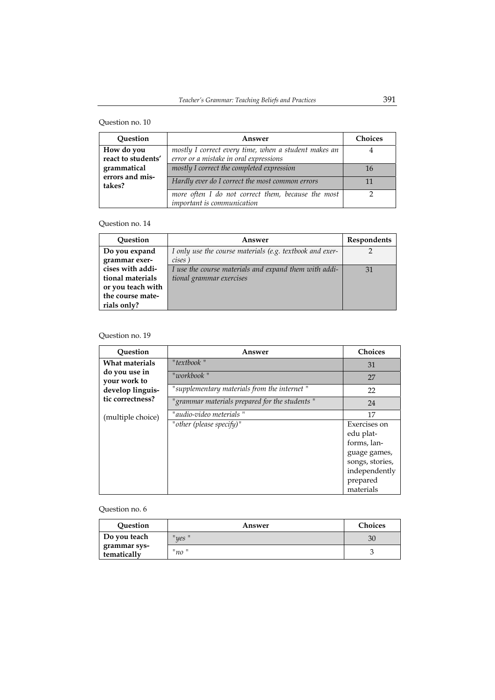| Question                         | Answer                                                                                         | <b>Choices</b> |
|----------------------------------|------------------------------------------------------------------------------------------------|----------------|
| How do you<br>react to students' | mostly I correct every time, when a student makes an<br>error or a mistake in oral expressions |                |
| grammatical                      | mostly I correct the completed expression                                                      | 16             |
| errors and mis-<br>takes?        | Hardly ever do I correct the most common errors                                                | 11             |
|                                  | more often I do not correct them, because the most<br>important is communication               |                |

### Question no. 14

| Question          | Answer                                                   | Respondents |
|-------------------|----------------------------------------------------------|-------------|
| Do you expand     | I only use the course materials (e.g. textbook and exer- |             |
| grammar exer-     | cises)                                                   |             |
| cises with addi-  | I use the course materials and expand them with addi-    | 31          |
| tional materials  | tional grammar exercises                                 |             |
| or you teach with |                                                          |             |
| the course mate-  |                                                          |             |
| rials only?       |                                                          |             |

## Question no. 19

| Ouestion                                                              | Answer                                        | <b>Choices</b>                                                                                                        |
|-----------------------------------------------------------------------|-----------------------------------------------|-----------------------------------------------------------------------------------------------------------------------|
| What materials                                                        | "textbook"                                    | 31                                                                                                                    |
| do you use in<br>your work to<br>develop linguis-<br>tic correctness? | "workbook "                                   | 27                                                                                                                    |
|                                                                       | "supplementary materials from the internet"   | 22                                                                                                                    |
|                                                                       | "grammar materials prepared for the students" | 24                                                                                                                    |
| (multiple choice)                                                     | " audio-video meterials "                     | 17                                                                                                                    |
|                                                                       | "other (please specify)"                      | Exercises on<br>edu plat-<br>forms, lan-<br>guage games,<br>songs, stories,<br>independently<br>prepared<br>materials |

| Question                    | Answer | <b>Choices</b> |
|-----------------------------|--------|----------------|
| Do you teach                | "yes"  | 30             |
| grammar sys-<br>tematically | "no"   |                |